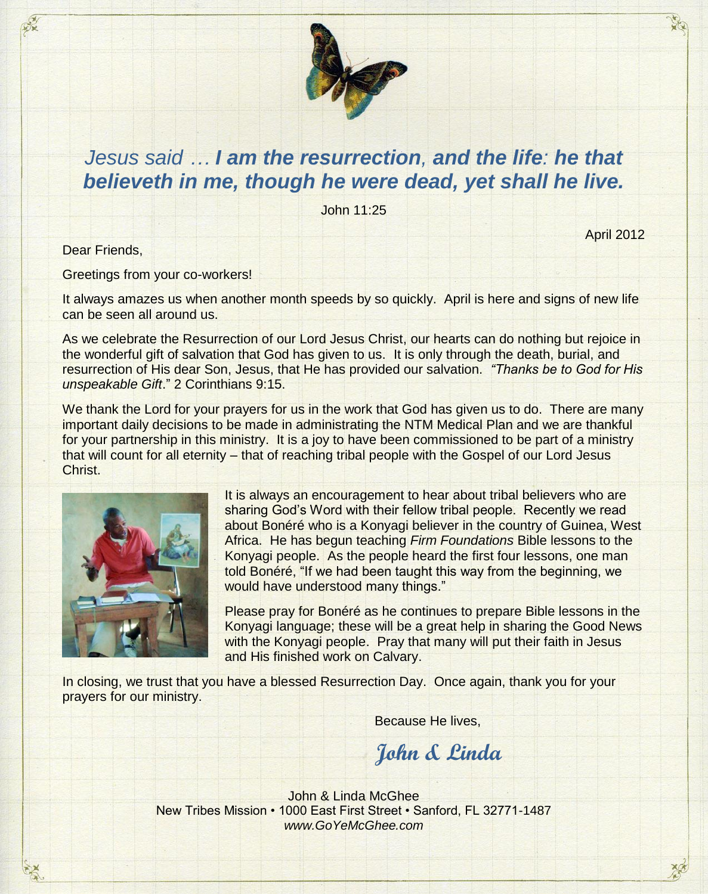

## *Jesus said … I am the resurrection, and the life: he that believeth in me, though he were dead, yet shall he live.*

John 11:25

Dear Friends,

Greetings from your co-workers!

It always amazes us when another month speeds by so quickly. April is here and signs of new life can be seen all around us.

As we celebrate the Resurrection of our Lord Jesus Christ, our hearts can do nothing but rejoice in the wonderful gift of salvation that God has given to us. It is only through the death, burial, and resurrection of His dear Son, Jesus, that He has provided our salvation. *"Thanks be to God for His unspeakable Gift*." 2 Corinthians 9:15.

We thank the Lord for your prayers for us in the work that God has given us to do. There are many important daily decisions to be made in administrating the NTM Medical Plan and we are thankful for your partnership in this ministry. It is a joy to have been commissioned to be part of a ministry that will count for all eternity – that of reaching tribal people with the Gospel of our Lord Jesus Christ.



It is always an encouragement to hear about tribal believers who are sharing God's Word with their fellow tribal people. Recently we read about Bonéré who is a Konyagi believer in the country of Guinea, West Africa. He has begun teaching *Firm Foundations* Bible lessons to the Konyagi people. As the people heard the first four lessons, one man told Bonéré, "If we had been taught this way from the beginning, we would have understood many things."

April 2012

Please pray for Bonéré as he continues to prepare Bible lessons in the Konyagi language; these will be a great help in sharing the Good News with the Konyagi people. Pray that many will put their faith in Jesus and His finished work on Calvary.

In closing, we trust that you have a blessed Resurrection Day. Once again, thank you for your prayers for our ministry.

Because He lives,

**John & Linda**

John & Linda McGhee New Tribes Mission • 1000 East First Street • Sanford, FL 32771-1487 *www.GoYeMcGhee.com*